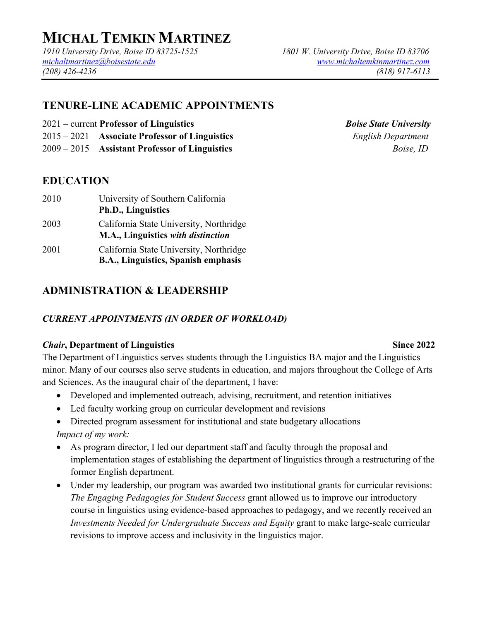# **MICHAL TEMKIN MARTINEZ**

*1910 University Drive, Boise ID 83725-1525 1801 W. University Drive, Boise ID 83706 michaltmartinez@boisestate.edu www.michaltemkinmartinez.com (208) 426-4236 (818) 917-6113*

# **TENURE-LINE ACADEMIC APPOINTMENTS**

- 2021 current **Professor of Linguistics** *Boise State University*
- 2015 2021 **Associate Professor of Linguistics** *English Department*
- 2009 2015 **Assistant Professor of Linguistics** *Boise, ID*

# **EDUCATION**

2010 University of Southern California **Ph.D., Linguistics** 2003 California State University, Northridge **M.A., Linguistics** *with distinction* 2001 California State University, Northridge **B.A., Linguistics, Spanish emphasis**

# **ADMINISTRATION & LEADERSHIP**

#### *CURRENT APPOINTMENTS (IN ORDER OF WORKLOAD)*

#### *Chair*, Department of Linguistics Since 2022

The Department of Linguistics serves students through the Linguistics BA major and the Linguistics minor. Many of our courses also serve students in education, and majors throughout the College of Arts and Sciences. As the inaugural chair of the department, I have:

- Developed and implemented outreach, advising, recruitment, and retention initiatives
- Led faculty working group on curricular development and revisions
- Directed program assessment for institutional and state budgetary allocations

*Impact of my work:*

- As program director, I led our department staff and faculty through the proposal and implementation stages of establishing the department of linguistics through a restructuring of the former English department.
- Under my leadership, our program was awarded two institutional grants for curricular revisions: *The Engaging Pedagogies for Student Success* grant allowed us to improve our introductory course in linguistics using evidence-based approaches to pedagogy, and we recently received an *Investments Needed for Undergraduate Success and Equity* grant to make large-scale curricular revisions to improve access and inclusivity in the linguistics major.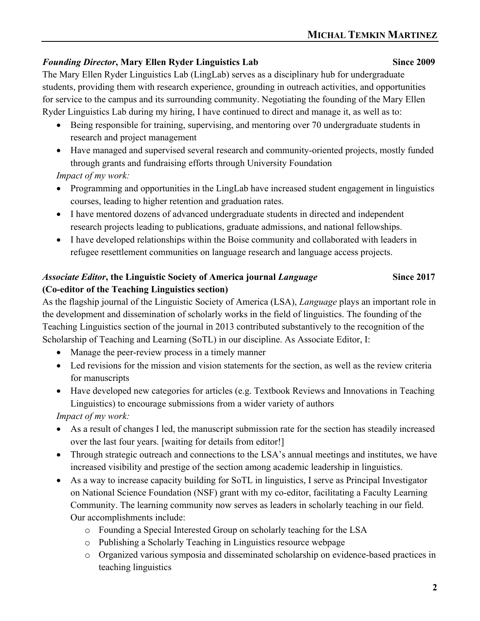### *Founding Director*, Mary Ellen Ryder Linguistics Lab Since 2009

The Mary Ellen Ryder Linguistics Lab (LingLab) serves as a disciplinary hub for undergraduate students, providing them with research experience, grounding in outreach activities, and opportunities for service to the campus and its surrounding community. Negotiating the founding of the Mary Ellen Ryder Linguistics Lab during my hiring, I have continued to direct and manage it, as well as to:

- Being responsible for training, supervising, and mentoring over 70 undergraduate students in research and project management
- Have managed and supervised several research and community-oriented projects, mostly funded through grants and fundraising efforts through University Foundation *Impact of my work:*
- Programming and opportunities in the LingLab have increased student engagement in linguistics courses, leading to higher retention and graduation rates.
- I have mentored dozens of advanced undergraduate students in directed and independent research projects leading to publications, graduate admissions, and national fellowships.
- I have developed relationships within the Boise community and collaborated with leaders in refugee resettlement communities on language research and language access projects.

# *Associate Editor***, the Linguistic Society of America journal** *Language* **Since 2017 (Co-editor of the Teaching Linguistics section)**

As the flagship journal of the Linguistic Society of America (LSA), *Language* plays an important role in the development and dissemination of scholarly works in the field of linguistics. The founding of the Teaching Linguistics section of the journal in 2013 contributed substantively to the recognition of the Scholarship of Teaching and Learning (SoTL) in our discipline. As Associate Editor, I:

- Manage the peer-review process in a timely manner
- Led revisions for the mission and vision statements for the section, as well as the review criteria for manuscripts
- Have developed new categories for articles (e.g. Textbook Reviews and Innovations in Teaching Linguistics) to encourage submissions from a wider variety of authors

*Impact of my work:*

- As a result of changes I led, the manuscript submission rate for the section has steadily increased over the last four years. [waiting for details from editor!]
- Through strategic outreach and connections to the LSA's annual meetings and institutes, we have increased visibility and prestige of the section among academic leadership in linguistics.
- As a way to increase capacity building for SoTL in linguistics, I serve as Principal Investigator on National Science Foundation (NSF) grant with my co-editor, facilitating a Faculty Learning Community. The learning community now serves as leaders in scholarly teaching in our field. Our accomplishments include:
	- o Founding a Special Interested Group on scholarly teaching for the LSA
	- o Publishing a Scholarly Teaching in Linguistics resource webpage
	- o Organized various symposia and disseminated scholarship on evidence-based practices in teaching linguistics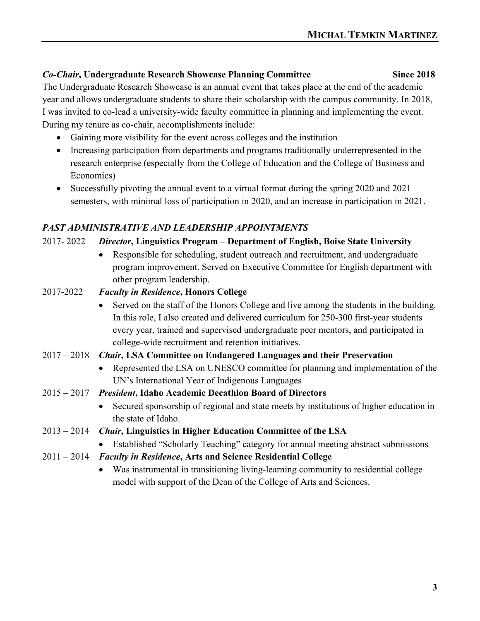#### *Co-Chair***, Undergraduate Research Showcase Planning Committee Since 2018**

The Undergraduate Research Showcase is an annual event that takes place at the end of the academic year and allows undergraduate students to share their scholarship with the campus community. In 2018, I was invited to co-lead a university-wide faculty committee in planning and implementing the event. During my tenure as co-chair, accomplishments include:

- Gaining more visibility for the event across colleges and the institution
- Increasing participation from departments and programs traditionally underrepresented in the research enterprise (especially from the College of Education and the College of Business and Economics)
- Successfully pivoting the annual event to a virtual format during the spring 2020 and 2021 semesters, with minimal loss of participation in 2020, and an increase in participation in 2021.

## *PAST ADMINISTRATIVE AND LEADERSHIP APPOINTMENTS*

### 2017- 2022 *Director***, Linguistics Program – Department of English, Boise State University**

- Responsible for scheduling, student outreach and recruitment, and undergraduate program improvement. Served on Executive Committee for English department with other program leadership.
- 2017-2022 *Faculty in Residence***, Honors College** 
	- Served on the staff of the Honors College and live among the students in the building. In this role, I also created and delivered curriculum for 250-300 first-year students every year, trained and supervised undergraduate peer mentors, and participated in college-wide recruitment and retention initiatives.
- 2017 2018 *Chair***, LSA Committee on Endangered Languages and their Preservation**
	- Represented the LSA on UNESCO committee for planning and implementation of the UN's International Year of Indigenous Languages
- 2015 2017 *President***, Idaho Academic Decathlon Board of Directors**
	- Secured sponsorship of regional and state meets by institutions of higher education in the state of Idaho.
- 2013 2014 *Chair***, Linguistics in Higher Education Committee of the LSA**
	- Established "Scholarly Teaching" category for annual meeting abstract submissions
- 2011 2014 *Faculty in Residence***, Arts and Science Residential College**
	- Was instrumental in transitioning living-learning community to residential college model with support of the Dean of the College of Arts and Sciences.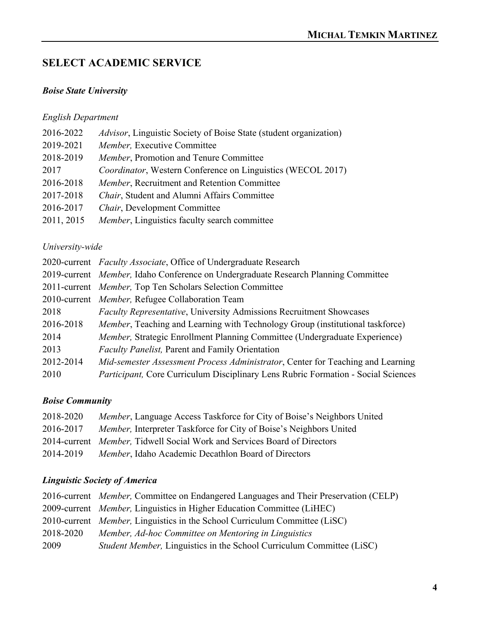# **SELECT ACADEMIC SERVICE**

### *Boise State University*

### *English Department*

| 2016-2022  | Advisor, Linguistic Society of Boise State (student organization) |
|------------|-------------------------------------------------------------------|
| 2019-2021  | Member, Executive Committee                                       |
| 2018-2019  | Member, Promotion and Tenure Committee                            |
| 2017       | Coordinator, Western Conference on Linguistics (WECOL 2017)       |
| 2016-2018  | Member, Recruitment and Retention Committee                       |
| 2017-2018  | Chair, Student and Alumni Affairs Committee                       |
| 2016-2017  | Chair, Development Committee                                      |
| 2011, 2015 | Member, Linguistics faculty search committee                      |
|            |                                                                   |

### *University-wide*

|           | 2020-current Faculty Associate, Office of Undergraduate Research                         |  |
|-----------|------------------------------------------------------------------------------------------|--|
|           | 2019-current Member, Idaho Conference on Undergraduate Research Planning Committee       |  |
|           | 2011-current Member, Top Ten Scholars Selection Committee                                |  |
|           | 2010-current Member, Refugee Collaboration Team                                          |  |
| 2018      | <b>Faculty Representative, University Admissions Recruitment Showcases</b>               |  |
| 2016-2018 | <i>Member</i> , Teaching and Learning with Technology Group (institutional taskforce)    |  |
| 2014      | <i>Member</i> , Strategic Enrollment Planning Committee (Undergraduate Experience)       |  |
| 2013      | <b>Faculty Panelist, Parent and Family Orientation</b>                                   |  |
| 2012-2014 | Mid-semester Assessment Process Administrator, Center for Teaching and Learning          |  |
| 2010      | <i>Participant, Core Curriculum Disciplinary Lens Rubric Formation - Social Sciences</i> |  |

### *Boise Community*

| 2018-2020 | Member, Language Access Taskforce for City of Boise's Neighbors United     |
|-----------|----------------------------------------------------------------------------|
| 2016-2017 | <i>Member</i> , Interpreter Taskforce for City of Boise's Neighbors United |
|           | 2014-current Member, Tidwell Social Work and Services Board of Directors   |
| 2014-2019 | Member, Idaho Academic Decathlon Board of Directors                        |

# *Linguistic Society of America*

|           | 2016-current <i>Member</i> , Committee on Endangered Languages and Their Preservation (CELP) |
|-----------|----------------------------------------------------------------------------------------------|
|           | 2009-current <i>Member</i> , Linguistics in Higher Education Committee (LiHEC)               |
|           | 2010-current <i>Member</i> , Linguistics in the School Curriculum Committee (LiSC)           |
| 2018-2020 | Member, Ad-hoc Committee on Mentoring in Linguistics                                         |
| 2009      | <i>Student Member, Linguistics in the School Curriculum Committee (LiSC)</i>                 |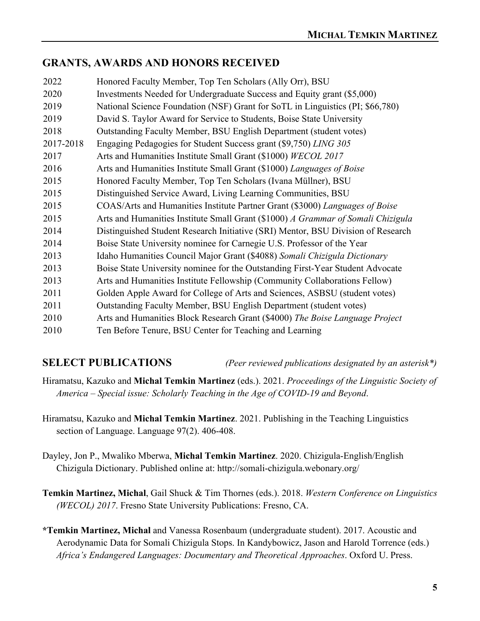## **GRANTS, AWARDS AND HONORS RECEIVED**

| 2022      | Honored Faculty Member, Top Ten Scholars (Ally Orr), BSU                         |  |  |
|-----------|----------------------------------------------------------------------------------|--|--|
| 2020      | Investments Needed for Undergraduate Success and Equity grant (\$5,000)          |  |  |
| 2019      | National Science Foundation (NSF) Grant for SoTL in Linguistics (PI; \$66,780)   |  |  |
| 2019      | David S. Taylor Award for Service to Students, Boise State University            |  |  |
| 2018      | Outstanding Faculty Member, BSU English Department (student votes)               |  |  |
| 2017-2018 | Engaging Pedagogies for Student Success grant (\$9,750) LING 305                 |  |  |
| 2017      | Arts and Humanities Institute Small Grant (\$1000) WECOL 2017                    |  |  |
| 2016      | Arts and Humanities Institute Small Grant (\$1000) Languages of Boise            |  |  |
| 2015      | Honored Faculty Member, Top Ten Scholars (Ivana Müllner), BSU                    |  |  |
| 2015      | Distinguished Service Award, Living Learning Communities, BSU                    |  |  |
| 2015      | COAS/Arts and Humanities Institute Partner Grant (\$3000) Languages of Boise     |  |  |
| 2015      | Arts and Humanities Institute Small Grant (\$1000) A Grammar of Somali Chizigula |  |  |
| 2014      | Distinguished Student Research Initiative (SRI) Mentor, BSU Division of Research |  |  |
| 2014      | Boise State University nominee for Carnegie U.S. Professor of the Year           |  |  |
| 2013      | Idaho Humanities Council Major Grant (\$4088) Somali Chizigula Dictionary        |  |  |
| 2013      | Boise State University nominee for the Outstanding First-Year Student Advocate   |  |  |
| 2013      | Arts and Humanities Institute Fellowship (Community Collaborations Fellow)       |  |  |
| 2011      | Golden Apple Award for College of Arts and Sciences, ASBSU (student votes)       |  |  |
| 2011      | Outstanding Faculty Member, BSU English Department (student votes)               |  |  |
| 2010      | Arts and Humanities Block Research Grant (\$4000) The Boise Language Project     |  |  |
| 2010      | Ten Before Tenure, BSU Center for Teaching and Learning                          |  |  |

**SELECT PUBLICATIONS** *(Peer reviewed publications designated by an asterisk\*)*

Hiramatsu, Kazuko and **Michal Temkin Martinez** (eds.). 2021. *Proceedings of the Linguistic Society of America* – *Special issue: Scholarly Teaching in the Age of COVID-19 and Beyond*.

- Hiramatsu, Kazuko and **Michal Temkin Martinez**. 2021. Publishing in the Teaching Linguistics section of Language. Language 97(2). 406-408.
- Dayley, Jon P., Mwaliko Mberwa, **Michal Temkin Martinez**. 2020. Chizigula-English/English Chizigula Dictionary. Published online at: http://somali-chizigula.webonary.org/
- **Temkin Martinez, Michal**, Gail Shuck & Tim Thornes (eds.). 2018. *Western Conference on Linguistics (WECOL) 2017*. Fresno State University Publications: Fresno, CA.
- **\*Temkin Martinez, Michal** and Vanessa Rosenbaum (undergraduate student). 2017. Acoustic and Aerodynamic Data for Somali Chizigula Stops. In Kandybowicz, Jason and Harold Torrence (eds.) *Africa's Endangered Languages: Documentary and Theoretical Approaches*. Oxford U. Press.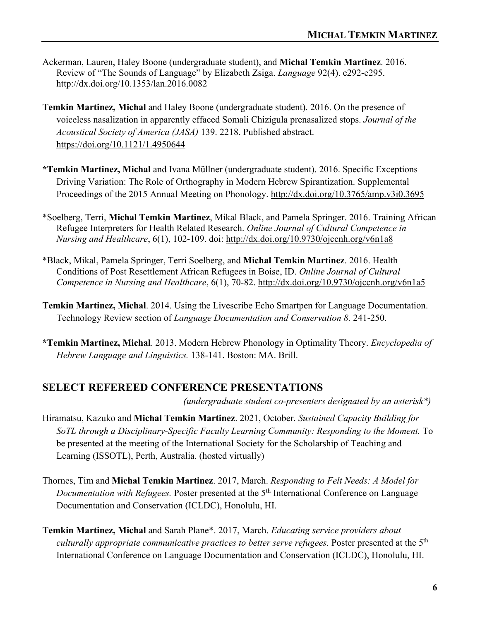- Ackerman, Lauren, Haley Boone (undergraduate student), and **Michal Temkin Martinez**. 2016. Review of "The Sounds of Language" by Elizabeth Zsiga. *Language* 92(4). e292-e295. http://dx.doi.org/10.1353/lan.2016.0082
- **Temkin Martinez, Michal** and Haley Boone (undergraduate student). 2016. On the presence of voiceless nasalization in apparently effaced Somali Chizigula prenasalized stops. *Journal of the Acoustical Society of America (JASA)* 139. 2218. Published abstract. https://doi.org/10.1121/1.4950644
- **\*Temkin Martinez, Michal** and Ivana Müllner (undergraduate student). 2016. Specific Exceptions Driving Variation: The Role of Orthography in Modern Hebrew Spirantization. Supplemental Proceedings of the 2015 Annual Meeting on Phonology. http://dx.doi.org/10.3765/amp.v3i0.3695
- \*Soelberg, Terri, **Michal Temkin Martinez**, Mikal Black, and Pamela Springer. 2016. Training African Refugee Interpreters for Health Related Research. *Online Journal of Cultural Competence in Nursing and Healthcare*, 6(1), 102-109. doi: http://dx.doi.org/10.9730/ojccnh.org/v6n1a8
- \*Black, Mikal, Pamela Springer, Terri Soelberg, and **Michal Temkin Martinez**. 2016. Health Conditions of Post Resettlement African Refugees in Boise, ID. *Online Journal of Cultural Competence in Nursing and Healthcare*, 6(1), 70-82. http://dx.doi.org/10.9730/ojccnh.org/v6n1a5
- **Temkin Martinez, Michal**. 2014. Using the Livescribe Echo Smartpen for Language Documentation. Technology Review section of *Language Documentation and Conservation 8.* 241-250.
- **\*Temkin Martinez, Michal**. 2013. Modern Hebrew Phonology in Optimality Theory. *Encyclopedia of Hebrew Language and Linguistics.* 138-141. Boston: MA. Brill.

#### **SELECT REFEREED CONFERENCE PRESENTATIONS**

 *(undergraduate student co-presenters designated by an asterisk\*)*

- Hiramatsu, Kazuko and **Michal Temkin Martinez**. 2021, October. *Sustained Capacity Building for SoTL through a Disciplinary-Specific Faculty Learning Community: Responding to the Moment.* To be presented at the meeting of the International Society for the Scholarship of Teaching and Learning (ISSOTL), Perth, Australia. (hosted virtually)
- Thornes, Tim and **Michal Temkin Martinez**. 2017, March. *Responding to Felt Needs: A Model for Documentation with Refugees.* Poster presented at the 5<sup>th</sup> International Conference on Language Documentation and Conservation (ICLDC), Honolulu, HI.
- **Temkin Martinez, Michal** and Sarah Plane\*. 2017, March. *Educating service providers about culturally appropriate communicative practices to better serve refugees.* Poster presented at the 5th International Conference on Language Documentation and Conservation (ICLDC), Honolulu, HI.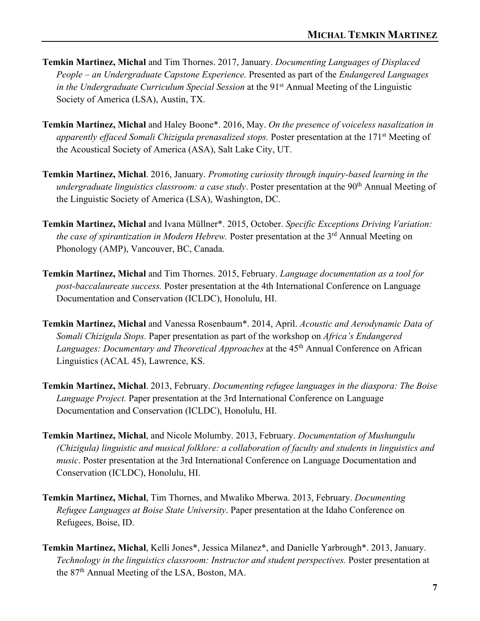- **Temkin Martinez, Michal** and Tim Thornes. 2017, January. *Documenting Languages of Displaced People – an Undergraduate Capstone Experience.* Presented as part of the *Endangered Languages in the Undergraduate Curriculum Special Session* at the 91<sup>st</sup> Annual Meeting of the Linguistic Society of America (LSA), Austin, TX.
- **Temkin Martinez, Michal** and Haley Boone\*. 2016, May. *On the presence of voiceless nasalization in apparently effaced Somali Chizigula prenasalized stops.* Poster presentation at the 171st Meeting of the Acoustical Society of America (ASA), Salt Lake City, UT.
- **Temkin Martinez, Michal**. 2016, January. *Promoting curiosity through inquiry-based learning in the*  undergraduate linguistics classroom: a case study. Poster presentation at the 90<sup>th</sup> Annual Meeting of the Linguistic Society of America (LSA), Washington, DC.
- **Temkin Martinez, Michal** and Ivana Müllner\*. 2015, October. *Specific Exceptions Driving Variation: the case of spirantization in Modern Hebrew.* Poster presentation at the 3<sup>rd</sup> Annual Meeting on Phonology (AMP), Vancouver, BC, Canada.
- **Temkin Martinez, Michal** and Tim Thornes. 2015, February. *Language documentation as a tool for post-baccalaureate success.* Poster presentation at the 4th International Conference on Language Documentation and Conservation (ICLDC), Honolulu, HI.
- **Temkin Martinez, Michal** and Vanessa Rosenbaum\*. 2014, April. *Acoustic and Aerodynamic Data of Somali Chizigula Stops.* Paper presentation as part of the workshop on *Africa's Endangered Languages: Documentary and Theoretical Approaches at the 45<sup>th</sup> Annual Conference on African* Linguistics (ACAL 45), Lawrence, KS.
- **Temkin Martinez, Michal**. 2013, February. *Documenting refugee languages in the diaspora: The Boise Language Project.* Paper presentation at the 3rd International Conference on Language Documentation and Conservation (ICLDC), Honolulu, HI.
- **Temkin Martinez, Michal**, and Nicole Molumby. 2013, February. *Documentation of Mushungulu (Chizigula) linguistic and musical folklore: a collaboration of faculty and students in linguistics and music*. Poster presentation at the 3rd International Conference on Language Documentation and Conservation (ICLDC), Honolulu, HI.
- **Temkin Martinez, Michal**, Tim Thornes, and Mwaliko Mberwa. 2013, February. *Documenting Refugee Languages at Boise State University*. Paper presentation at the Idaho Conference on Refugees, Boise, ID.
- **Temkin Martinez, Michal**, Kelli Jones\*, Jessica Milanez\*, and Danielle Yarbrough\*. 2013, January. *Technology in the linguistics classroom: Instructor and student perspectives.* Poster presentation at the 87th Annual Meeting of the LSA, Boston, MA.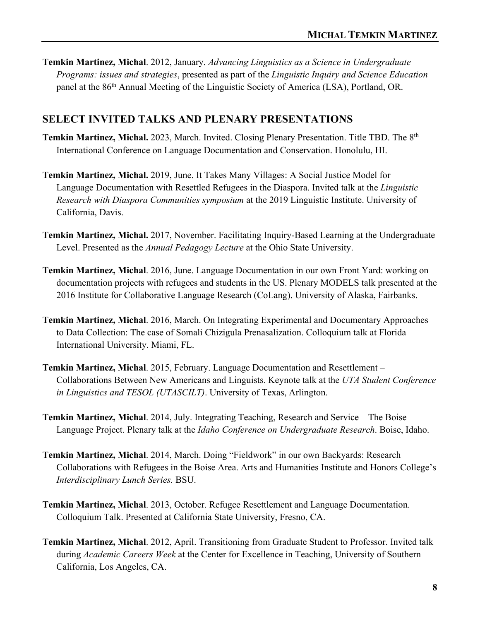**Temkin Martinez, Michal**. 2012, January. *Advancing Linguistics as a Science in Undergraduate Programs: issues and strategies*, presented as part of the *Linguistic Inquiry and Science Education*  panel at the 86th Annual Meeting of the Linguistic Society of America (LSA), Portland, OR.

## **SELECT INVITED TALKS AND PLENARY PRESENTATIONS**

- **Temkin Martinez, Michal.** 2023, March. Invited. Closing Plenary Presentation. Title TBD. The 8<sup>th</sup> International Conference on Language Documentation and Conservation. Honolulu, HI.
- **Temkin Martinez, Michal.** 2019, June. It Takes Many Villages: A Social Justice Model for Language Documentation with Resettled Refugees in the Diaspora. Invited talk at the *Linguistic Research with Diaspora Communities symposium* at the 2019 Linguistic Institute. University of California, Davis.
- **Temkin Martinez, Michal.** 2017, November. Facilitating Inquiry-Based Learning at the Undergraduate Level. Presented as the *Annual Pedagogy Lecture* at the Ohio State University.
- **Temkin Martinez, Michal**. 2016, June. Language Documentation in our own Front Yard: working on documentation projects with refugees and students in the US. Plenary MODELS talk presented at the 2016 Institute for Collaborative Language Research (CoLang). University of Alaska, Fairbanks.
- **Temkin Martinez, Michal**. 2016, March. On Integrating Experimental and Documentary Approaches to Data Collection: The case of Somali Chizigula Prenasalization. Colloquium talk at Florida International University. Miami, FL.
- **Temkin Martinez, Michal**. 2015, February. Language Documentation and Resettlement Collaborations Between New Americans and Linguists. Keynote talk at the *UTA Student Conference in Linguistics and TESOL (UTASCILT)*. University of Texas, Arlington.
- **Temkin Martinez, Michal**. 2014, July. Integrating Teaching, Research and Service The Boise Language Project. Plenary talk at the *Idaho Conference on Undergraduate Research*. Boise, Idaho.
- **Temkin Martinez, Michal**. 2014, March. Doing "Fieldwork" in our own Backyards: Research Collaborations with Refugees in the Boise Area. Arts and Humanities Institute and Honors College's *Interdisciplinary Lunch Series.* BSU.
- **Temkin Martinez, Michal**. 2013, October. Refugee Resettlement and Language Documentation. Colloquium Talk. Presented at California State University, Fresno, CA.
- **Temkin Martinez, Michal**. 2012, April. Transitioning from Graduate Student to Professor. Invited talk during *Academic Careers Week* at the Center for Excellence in Teaching, University of Southern California, Los Angeles, CA.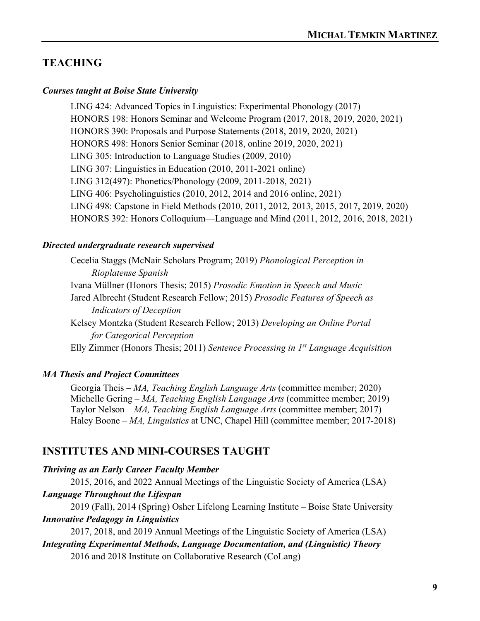# **TEACHING**

#### *Courses taught at Boise State University*

LING 424: Advanced Topics in Linguistics: Experimental Phonology (2017) HONORS 198: Honors Seminar and Welcome Program (2017, 2018, 2019, 2020, 2021) HONORS 390: Proposals and Purpose Statements (2018, 2019, 2020, 2021) HONORS 498: Honors Senior Seminar (2018, online 2019, 2020, 2021) LING 305: Introduction to Language Studies (2009, 2010) LING 307: Linguistics in Education (2010, 2011-2021 online) LING 312(497): Phonetics/Phonology (2009, 2011-2018, 2021) LING 406: Psycholinguistics (2010, 2012, 2014 and 2016 online, 2021) LING 498: Capstone in Field Methods (2010, 2011, 2012, 2013, 2015, 2017, 2019, 2020) HONORS 392: Honors Colloquium—Language and Mind (2011, 2012, 2016, 2018, 2021)

#### *Directed undergraduate research supervised*

Cecelia Staggs (McNair Scholars Program; 2019) *Phonological Perception in Rioplatense Spanish*  Ivana Müllner (Honors Thesis; 2015) *Prosodic Emotion in Speech and Music*  Jared Albrecht (Student Research Fellow; 2015) *Prosodic Features of Speech as Indicators of Deception*  Kelsey Montzka (Student Research Fellow; 2013) *Developing an Online Portal for Categorical Perception* Elly Zimmer (Honors Thesis; 2011) *Sentence Processing in 1st Language Acquisition*

#### *MA Thesis and Project Committees*

Georgia Theis – *MA, Teaching English Language Arts* (committee member; 2020) Michelle Gering – *MA, Teaching English Language Arts* (committee member; 2019) Taylor Nelson – *MA, Teaching English Language Arts* (committee member; 2017) Haley Boone – *MA, Linguistics* at UNC, Chapel Hill (committee member; 2017-2018)

#### **INSTITUTES AND MINI-COURSES TAUGHT**

#### *Thriving as an Early Career Faculty Member*

2015, 2016, and 2022 Annual Meetings of the Linguistic Society of America (LSA) *Language Throughout the Lifespan* 

2019 (Fall), 2014 (Spring) Osher Lifelong Learning Institute – Boise State University *Innovative Pedagogy in Linguistics*

2017, 2018, and 2019 Annual Meetings of the Linguistic Society of America (LSA)

# *Integrating Experimental Methods, Language Documentation, and (Linguistic) Theory*

2016 and 2018 Institute on Collaborative Research (CoLang)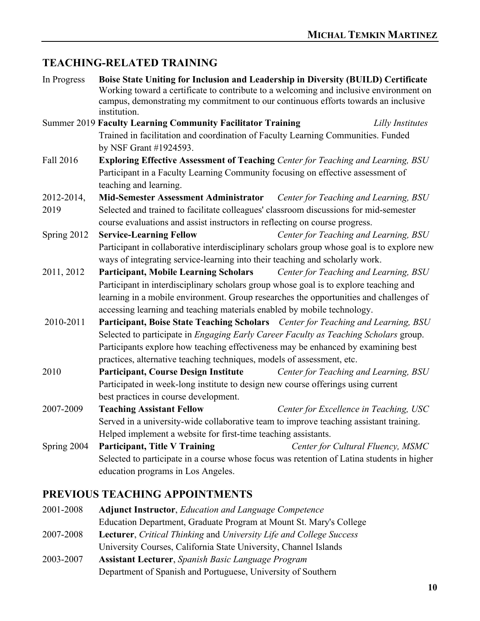# **TEACHING-RELATED TRAINING**

| In Progress | Boise State Uniting for Inclusion and Leadership in Diversity (BUILD) Certificate<br>Working toward a certificate to contribute to a welcoming and inclusive environment on<br>campus, demonstrating my commitment to our continuous efforts towards an inclusive<br>institution. |                                        |                  |  |  |
|-------------|-----------------------------------------------------------------------------------------------------------------------------------------------------------------------------------------------------------------------------------------------------------------------------------|----------------------------------------|------------------|--|--|
|             | <b>Summer 2019 Faculty Learning Community Facilitator Training</b>                                                                                                                                                                                                                |                                        | Lilly Institutes |  |  |
|             | Trained in facilitation and coordination of Faculty Learning Communities. Funded                                                                                                                                                                                                  |                                        |                  |  |  |
|             | by NSF Grant #1924593.                                                                                                                                                                                                                                                            |                                        |                  |  |  |
| Fall 2016   | Exploring Effective Assessment of Teaching Center for Teaching and Learning, BSU                                                                                                                                                                                                  |                                        |                  |  |  |
|             | Participant in a Faculty Learning Community focusing on effective assessment of<br>teaching and learning.                                                                                                                                                                         |                                        |                  |  |  |
| 2012-2014,  | Mid-Semester Assessment Administrator Center for Teaching and Learning, BSU                                                                                                                                                                                                       |                                        |                  |  |  |
| 2019        |                                                                                                                                                                                                                                                                                   |                                        |                  |  |  |
|             | Selected and trained to facilitate colleagues' classroom discussions for mid-semester<br>course evaluations and assist instructors in reflecting on course progress.                                                                                                              |                                        |                  |  |  |
| Spring 2012 | <b>Service-Learning Fellow</b>                                                                                                                                                                                                                                                    | Center for Teaching and Learning, BSU  |                  |  |  |
|             | Participant in collaborative interdisciplinary scholars group whose goal is to explore new                                                                                                                                                                                        |                                        |                  |  |  |
|             | ways of integrating service-learning into their teaching and scholarly work.                                                                                                                                                                                                      |                                        |                  |  |  |
| 2011, 2012  | <b>Participant, Mobile Learning Scholars</b>                                                                                                                                                                                                                                      | Center for Teaching and Learning, BSU  |                  |  |  |
|             | Participant in interdisciplinary scholars group whose goal is to explore teaching and                                                                                                                                                                                             |                                        |                  |  |  |
|             | learning in a mobile environment. Group researches the opportunities and challenges of                                                                                                                                                                                            |                                        |                  |  |  |
|             | accessing learning and teaching materials enabled by mobile technology.                                                                                                                                                                                                           |                                        |                  |  |  |
| 2010-2011   | Participant, Boise State Teaching Scholars Center for Teaching and Learning, BSU                                                                                                                                                                                                  |                                        |                  |  |  |
|             | Selected to participate in Engaging Early Career Faculty as Teaching Scholars group.                                                                                                                                                                                              |                                        |                  |  |  |
|             | Participants explore how teaching effectiveness may be enhanced by examining best                                                                                                                                                                                                 |                                        |                  |  |  |
|             | practices, alternative teaching techniques, models of assessment, etc.                                                                                                                                                                                                            |                                        |                  |  |  |
| 2010        | <b>Participant, Course Design Institute</b>                                                                                                                                                                                                                                       | Center for Teaching and Learning, BSU  |                  |  |  |
|             | Participated in week-long institute to design new course offerings using current                                                                                                                                                                                                  |                                        |                  |  |  |
|             | best practices in course development.                                                                                                                                                                                                                                             |                                        |                  |  |  |
| 2007-2009   | <b>Teaching Assistant Fellow</b>                                                                                                                                                                                                                                                  | Center for Excellence in Teaching, USC |                  |  |  |
|             | Served in a university-wide collaborative team to improve teaching assistant training.                                                                                                                                                                                            |                                        |                  |  |  |
|             | Helped implement a website for first-time teaching assistants.                                                                                                                                                                                                                    |                                        |                  |  |  |
| Spring 2004 | <b>Participant, Title V Training</b>                                                                                                                                                                                                                                              | Center for Cultural Fluency, MSMC      |                  |  |  |
|             | Selected to participate in a course whose focus was retention of Latina students in higher                                                                                                                                                                                        |                                        |                  |  |  |
|             | education programs in Los Angeles.                                                                                                                                                                                                                                                |                                        |                  |  |  |
|             | PREVIOUS TEACHING APPOINTMENTS                                                                                                                                                                                                                                                    |                                        |                  |  |  |
| 2001-2008   | <b>Adjunct Instructor, Education and Language Competence</b>                                                                                                                                                                                                                      |                                        |                  |  |  |
|             | Education Department, Graduate Program at Mount St. Mary's College                                                                                                                                                                                                                |                                        |                  |  |  |

- 2007-2008 **Lecturer**, *Critical Thinking* and *University Life and College Success*
- University Courses, California State University, Channel Islands
- 2003-2007 **Assistant Lecturer**, *Spanish Basic Language Program* Department of Spanish and Portuguese, University of Southern